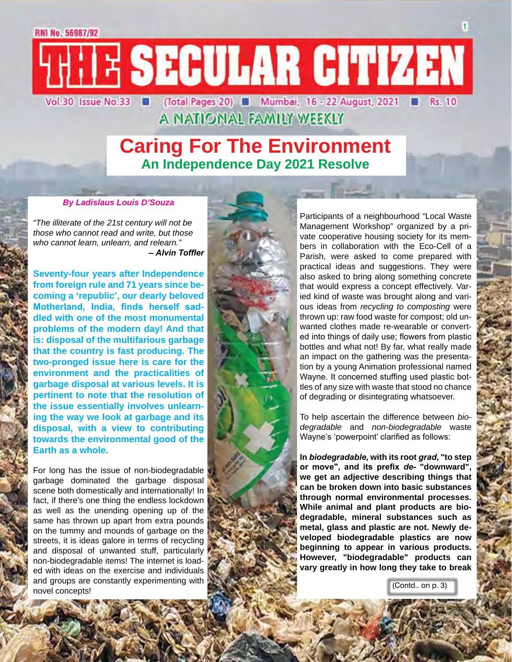## **Caring For The Environment An Independence Day 2021 Resolve**

### *By Ladislaus Louis D'Souza*

*"The illiterate of the 21st century will not be those who cannot read and write, but those who cannot learn, unlearn, and relearn." – Alvin Toffler*

**Seventy-four years after Independence from foreign rule and 71 years since becoming a 'republic', our dearly beloved Motherland, India, finds herself saddled with one of the most monumental problems of the modern day! And that is: disposal of the multifarious garbage that the country is fast producing. The two-pronged issue here is care for the environment and the practicalities of garbage disposal at various levels. It is pertinent to note that the resolution of the issue essentially involves unlearning the way we look at garbage and its disposal, with a view to contributing towards the environmental good of the Earth as a whole.**

For long has the issue of non-biodegradable garbage dominated the garbage disposal scene both domestically and internationally! In fact, if there's one thing the endless lockdown as well as the unending opening up of the same has thrown up apart from extra pounds on the tummy and mounds of garbage on the streets, it is ideas galore in terms of recycling and disposal of unwanted stuff, particularly non-biodegradable items! The internet is loaded with ideas on the exercise and individuals and groups are constantly experimenting with novel concepts!



Participants of a neighbourhood "Local Waste Management Workshop" organized by a private cooperative housing society for its members in collaboration with the Eco-Cell of a Parish, were asked to come prepared with practical ideas and suggestions. They were also asked to bring along something concrete that would express a concept effectively. Varied kind of waste was brought along and various ideas from *recycling to composting* were thrown up: raw food waste for compost; old unwanted clothes made re-wearable or converted into things of daily use; flowers from plastic bottles and what not! By far, what really made an impact on the gathering was the presentation by a young Animation professional named Wayne. It concerned stuffing used plastic bottles of any size with waste that stood no chance of degrading or disintegrating whatsoever.

To help ascertain the difference between *biodegradable* and *non-biodegradable* waste Wayne's 'powerpoint' clarified as follows:

**In** *biodegradable,* **with its root** *grad***, "to step or move", and its prefix** *de-* **"downward", we get an adjective describing things that can be broken down into basic substances through normal environmental processes. While animal and plant products are biodegradable, mineral substances such as metal, glass and plastic are not. Newly developed biodegradable plastics are now beginning to appear in various products. However, "biodegradable" products can vary greatly in how long they take to break** 

(Contd.. on p. 3)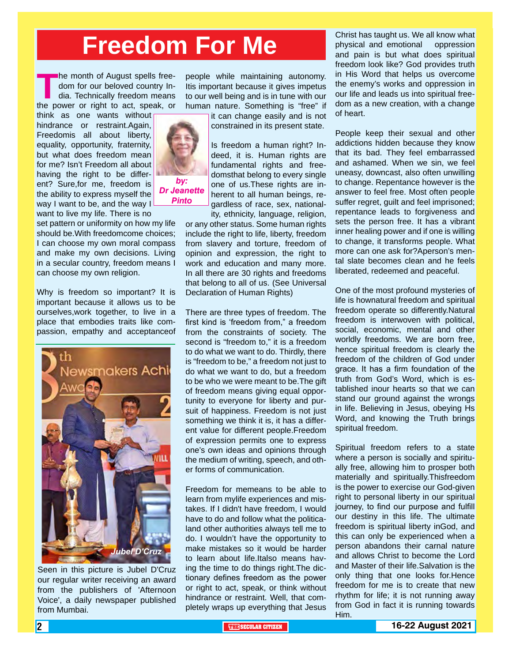# **Freedom For Me**

*by: Dr Jeanette Pinto*

The month of August spells free-<br>dom for our beloved country In-<br>dia. Technically freedom means<br>the power or right to act, speak, or dom for our beloved country India. Technically freedom means

think as one wants without hindrance or restraint.Again, Freedomis all about liberty, equality, opportunity, fraternity, but what does freedom mean for me? Isn't Freedom all about having the right to be different? Sure,for me, freedom is the ability to express myself the way I want to be, and the way I want to live my life. There is no

set pattern or uniformity on how my life should be.With freedomcome choices; I can choose my own moral compass and make my own decisions. Living in a secular country, freedom means I can choose my own religion.

Why is freedom so important? It is important because it allows us to be ourselves,work together, to live in a place that embodies traits like compassion, empathy and acceptanceof



Seen in this picture is Jubel D'Cruz our regular writer receiving an award from the publishers of 'Afternoon Voice', a daily newspaper published from Mumbai.

people while maintaining autonomy. Itis important because it gives impetus to our well being and is in tune with our human nature. Something is "free" if

it can change easily and is not constrained in its present state.

Is freedom a human right? Indeed, it is. Human rights are fundamental rights and freedomsthat belong to every single one of us.These rights are inherent to all human beings, regardless of race, sex, national-

ity, ethnicity, language, religion, or any other status. Some human rights include the right to life, liberty, freedom from slavery and torture, freedom of opinion and expression, the right to work and education and many more. In all there are 30 rights and freedoms that belong to all of us. (See Universal Declaration of Human Rights)

There are three types of freedom. The first kind is 'freedom from," a freedom from the constraints of society. The second is "freedom to," it is a freedom to do what we want to do. Thirdly, there is "freedom to be," a freedom not just to do what we want to do, but a freedom to be who we were meant to be.The gift of freedom means giving equal opportunity to everyone for liberty and pursuit of happiness. Freedom is not just something we think it is, it has a different value for different people.Freedom of expression permits one to express one's own ideas and opinions through the medium of writing, speech, and other forms of communication.

Freedom for memeans to be able to learn from mylife experiences and mistakes. If I didn't have freedom, I would have to do and follow what the politicaland other authorities always tell me to do. I wouldn't have the opportunity to make mistakes so it would be harder to learn about life.Italso means having the time to do things right.The dictionary defines freedom as the power or right to act, speak, or think without hindrance or restraint. Well, that completely wraps up everything that Jesus

Christ has taught us. We all know what physical and emotional oppression and pain is but what does spiritual freedom look like? God provides truth in His Word that helps us overcome the enemy's works and oppression in our life and leads us into spiritual freedom as a new creation, with a change of heart.

People keep their sexual and other addictions hidden because they know that its bad. They feel embarrassed and ashamed. When we sin, we feel uneasy, downcast, also often unwilling to change. Repentance however is the answer to feel free. Most often people suffer regret, guilt and feel imprisoned; repentance leads to forgiveness and sets the person free. It has a vibrant inner healing power and if one is willing to change, it transforms people. What more can one ask for?Aperson's mental slate becomes clean and he feels liberated, redeemed and peaceful.

One of the most profound mysteries of life is hownatural freedom and spiritual freedom operate so differently.Natural freedom is interwoven with political, social, economic, mental and other worldly freedoms. We are born free, hence spiritual freedom is clearly the freedom of the children of God under grace. It has a firm foundation of the truth from God's Word, which is established inour hearts so that we can stand our ground against the wrongs in life. Believing in Jesus, obeying Hs Word, and knowing the Truth brings spiritual freedom.

Spiritual freedom refers to a state where a person is socially and spiritually free, allowing him to prosper both materially and spiritually.Thisfreedom is the power to exercise our God-given right to personal liberty in our spiritual journey, to find our purpose and fulfill our destiny in this life. The ultimate freedom is spiritual liberty inGod, and this can only be experienced when a person abandons their carnal nature and allows Christ to become the Lord and Master of their life.Salvation is the only thing that one looks for.Hence freedom for me is to create that new rhythm for life; it is not running away from God in fact it is running towards Him.

2 **THE SECULAR CITIZEN 16-22 August 2021**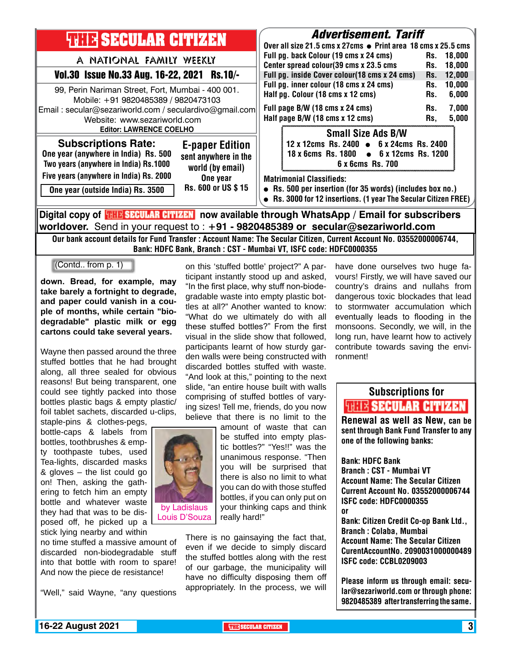| <b>THIR SECULAR CITIZEN</b>                                                                                                                                                                                          | <b>Advertisement. Tariff</b><br>Over all size 21.5 cms x 27cms ● Print area 18 cms x 25.5 cms                                                                                                                                                    |  |  |  |
|----------------------------------------------------------------------------------------------------------------------------------------------------------------------------------------------------------------------|--------------------------------------------------------------------------------------------------------------------------------------------------------------------------------------------------------------------------------------------------|--|--|--|
| A NATIONAL FAMILY WEEKLY<br>Vol.30 Issue No.33 Aug. 16-22, 2021 Rs.10/-                                                                                                                                              | Full pg. back Colour (19 cms x 24 cms)<br>18.000<br>Rs.<br>Center spread colour(39 cms x 23.5 cms<br>18,000<br>Rs.<br>Full pg. inside Cover colour(18 cms x 24 cms)<br>12,000<br>Rs.                                                             |  |  |  |
| 99, Perin Nariman Street, Fort, Mumbai - 400 001.<br>Mobile: +91 9820485389 / 9820473103<br>Email: secular@sezariworld.com / seculardivo@gmail.com<br>Website: www.sezariworld.com<br><b>Editor: LAWRENCE COELHO</b> | Full pg. inner colour (18 cms x 24 cms)<br>10,000<br>Rs.<br>Half pg. Colour (18 cms x 12 cms)<br>6,000<br>Rs.<br>Full page B/W (18 cms x 24 cms)<br>7,000<br>Rs.<br>Half page B/W (18 cms x 12 cms)<br>5,000<br>Rs.<br><b>Small Size Ads B/W</b> |  |  |  |
| <b>Subscriptions Rate:</b><br><b>E-paper Edition</b><br>One year (anywhere in India) Rs. 500<br>sent anywhere in the<br>Two years (anywhere in India) Rs.1000<br>world (by email)                                    | 12 x 12cms Rs. 2400 • 6 x 24cms Rs. 2400<br>$\bullet$ 6 x 12cms Rs. 1200<br>18 x 6cms Rs. 1800<br>6 x 6cms Rs. 700                                                                                                                               |  |  |  |
| Five years (anywhere in India) Rs. 2000<br>One year<br>Rs. 600 or US \$15<br>One year (outside India) Rs. 3500                                                                                                       | <b>Matrimonial Classifieds:</b><br>• Rs. 500 per insertion (for 35 words) (includes box no.)<br>• Rs. 3000 for 12 insertions. (1 year The Secular Citizen FREE)                                                                                  |  |  |  |
| Digital copy of <mark>珊球SECULAR CITIMAN</mark> now available through WhatsApp / Email for subscribers                                                                                                                |                                                                                                                                                                                                                                                  |  |  |  |

**worldover.** Send in your request to : **+91 - 9820485389 or secular@sezariworld.com** Our bank account details for Fund Transfer : Account Name: The Secular Citizen, Current Account No. 03552000006744, Bank: HDFC Bank, Branch : CST - Mumbai VT, ISFC code: HDFC0000355

(Contd.. from p. 1)

**down. Bread, for example, may take barely a fortnight to degrade, and paper could vanish in a couple of months, while certain "biodegradable" plastic milk or egg cartons could take several years.**

Wayne then passed around the three stuffed bottles that he had brought along, all three sealed for obvious reasons! But being transparent, one could see tightly packed into those bottles plastic bags & empty plastic/ foil tablet sachets, discarded u-clips,

staple-pins & clothes-pegs, bottle-caps & labels from bottles, toothbrushes & empty toothpaste tubes, used Tea-lights, discarded masks & gloves – the list could go on! Then, asking the gathering to fetch him an empty bottle and whatever waste they had that was to be disposed off, he picked up a stick lying nearby and within

no time stuffed a massive amount of discarded non-biodegradable stuff into that bottle with room to spare! And now the piece de resistance!

"Well," said Wayne, "any questions

on this 'stuffed bottle' project?" A participant instantly stood up and asked, "In the first place, why stuff non-biodegradable waste into empty plastic bottles at all?" Another wanted to know: "What do we ultimately do with all these stuffed bottles?" From the first visual in the slide show that followed, participants learnt of how sturdy garden walls were being constructed with discarded bottles stuffed with waste. "And look at this," pointing to the next slide, "an entire house built with walls comprising of stuffed bottles of varying sizes! Tell me, friends, do you now believe that there is no limit to the

> amount of waste that can be stuffed into empty plastic bottles?" "Yes!!" was the unanimous response. "Then you will be surprised that there is also no limit to what you can do with those stuffed bottles, if you can only put on your thinking caps and think really hard!"

There is no gainsaying the fact that, even if we decide to simply discard the stuffed bottles along with the rest of our garbage, the municipality will have no difficulty disposing them off appropriately. In the process, we will have done ourselves two huge favours! Firstly, we will have saved our country's drains and nullahs from dangerous toxic blockades that lead to stormwater accumulation which eventually leads to flooding in the monsoons. Secondly, we will, in the long run, have learnt how to actively contribute towards saving the environment!

## Subscriptions for **RENEW SECULAR CITIZEN**<br>Renewal as well as New, can be

sent through Bank Fund Transfer to any one of the following banks:

Bank: HDFC Bank Branch : CST - Mumbai VT Account Name: The Secular Citizen Current Account No. 03552000006744 ISFC code: HDFC0000355 or Bank: Citizen Credit Co-op Bank Ltd.,

Branch : Colaba, Mumbai Account Name: The Secular Citizen CurentAccountNo. 2090031000000489 ISFC code: CCBL0209003

Please inform us through email: secular@sezariworld.com or through phone: 9820485389 after transferring the same.

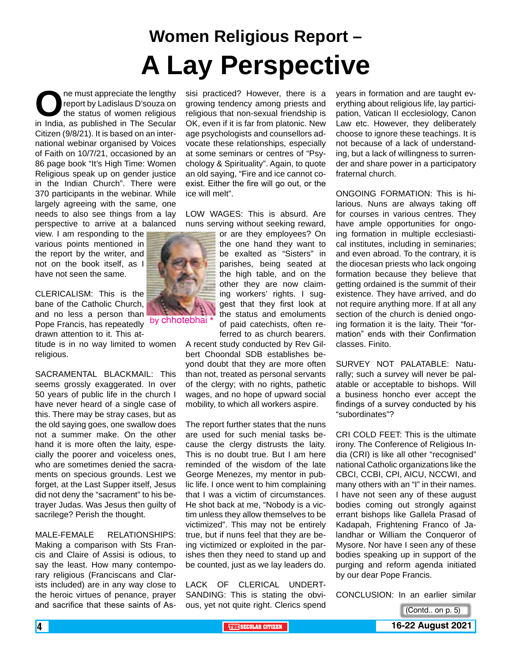# **Women Religious Report – A Lay Perspective**

**OREGENSIGE MANUS CONCRETE SHOW THE SECURITY OF SHOW INCREDIBLY A LIBRARY SHOW IN INCREDIBLY A LIBRARY SHOW IN THE Secular Secular Secular Secular Secular Secular Secular Secular Secular Secular Secular Secular Secular Sec** report by Ladislaus D'souza on the status of women religious Citizen (9/8/21). It is based on an international webinar organised by Voices of Faith on 10/7/21, occasioned by an 86 page book "It's High Time: Women Religious speak up on gender justice in the Indian Church". There were 370 participants in the webinar. While largely agreeing with the same, one needs to also see things from a lay perspective to arrive at a balanced

view. I am responding to the various points mentioned in the report by the writer, and not on the book itself, as I have not seen the same.

CLERICALISM: This is the bane of the Catholic Church, and no less a person than and no loss a person thank by chhotebhai \* drawn attention to it. This at-

titude is in no way limited to women religious.

SACRAMENTAL BLACKMAIL: This seems grossly exaggerated. In over 50 years of public life in the church I have never heard of a single case of this. There may be stray cases, but as the old saying goes, one swallow does not a summer make. On the other hand it is more often the laity, especially the poorer and voiceless ones, who are sometimes denied the sacraments on specious grounds. Lest we forget, at the Last Supper itself, Jesus did not deny the "sacrament" to his betrayer Judas. Was Jesus then guilty of sacrilege? Perish the thought.

MALE-FEMALE RELATIONSHIPS: Making a comparison with Sts Francis and Claire of Assisi is odious, to say the least. How many contemporary religious (Franciscans and Clarists included) are in any way close to the heroic virtues of penance, prayer and sacrifice that these saints of As-

sisi practiced? However, there is a growing tendency among priests and religious that non-sexual friendship is OK, even if it is far from platonic. New age psychologists and counsellors advocate these relationships, especially at some seminars or centres of "Psychology & Spirituality". Again, to quote an old saying, "Fire and ice cannot coexist. Either the fire will go out, or the ice will melt".

LOW WAGES: This is absurd. Are nuns serving without seeking reward,

> or are they employees? On the one hand they want to be exalted as "Sisters" in parishes, being seated at the high table, and on the other they are now claiming workers' rights. I suggest that they first look at the status and emoluments of paid catechists, often referred to as church bearers.

A recent study conducted by Rev Gilbert Choondal SDB establishes beyond doubt that they are more often than not, treated as personal servants of the clergy; with no rights, pathetic wages, and no hope of upward social mobility, to which all workers aspire.

The report further states that the nuns are used for such menial tasks because the clergy distrusts the laity. This is no doubt true. But I am here reminded of the wisdom of the late George Menezes, my mentor in public life. I once went to him complaining that I was a victim of circumstances. He shot back at me, "Nobody is a victim unless they allow themselves to be victimized". This may not be entirely true, but if nuns feel that they are being victimized or exploited in the parishes then they need to stand up and be counted, just as we lay leaders do.

LACK OF CLERICAL UNDERT-SANDING: This is stating the obvious, yet not quite right. Clerics spend years in formation and are taught everything about religious life, lay participation, Vatican II ecclesiology, Canon Law etc. However, they deliberately choose to ignore these teachings. It is not because of a lack of understanding, but a lack of willingness to surrender and share power in a participatory fraternal church.

ONGOING FORMATION: This is hilarious. Nuns are always taking off for courses in various centres. They have ample opportunities for ongoing formation in multiple ecclesiastical institutes, including in seminaries; and even abroad. To the contrary, it is the diocesan priests who lack ongoing formation because they believe that getting ordained is the summit of their existence. They have arrived, and do not require anything more. If at all any section of the church is denied ongoing formation it is the laity. Their "formation" ends with their Confirmation classes. Finito.

SURVEY NOT PALATABLE: Naturally; such a survey will never be palatable or acceptable to bishops. Will a business honcho ever accept the findings of a survey conducted by his "subordinates"?

CRI COLD FEET: This is the ultimate irony. The Conference of Religious India (CRI) is like all other "recognised" national Catholic organizations like the CBCI, CCBI, CPI, AICU, NCCWI, and many others with an "I" in their names. I have not seen any of these august bodies coming out strongly against errant bishops like Gallela Prasad of Kadapah, Frightening Franco of Jalandhar or William the Conqueror of Mysore. Nor have I seen any of these bodies speaking up in support of the purging and reform agenda initiated by our dear Pope Francis.

CONCLUSION: In an earlier similar

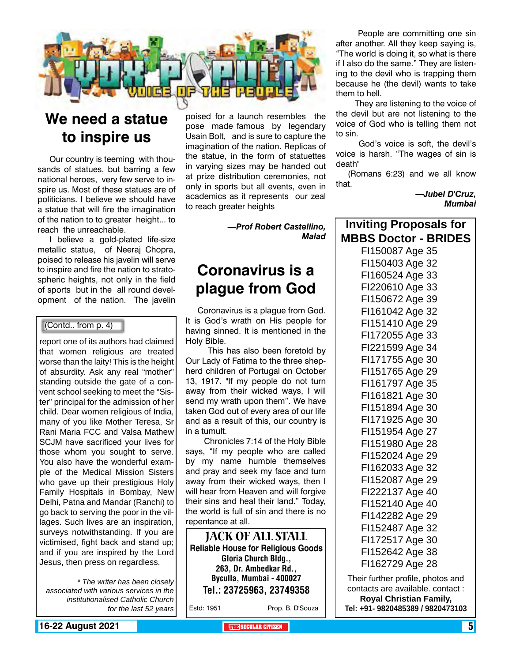

## **We need a statue to inspire us**

Our country is teeming with thousands of statues, but barring a few national heroes, very few serve to inspire us. Most of these statues are of politicians. I believe we should have a statue that will fire the imagination of the nation to to greater height... to reach the unreachable.

I believe a gold-plated life-size metallic statue, of Neeraj Chopra, poised to release his javelin will serve to inspire and fire the nation to stratospheric heights, not only in the field of sports but in the all round development of the nation. The javelin

### (Contd.. from p. 4)

report one of its authors had claimed that women religious are treated worse than the laity! This is the height of absurdity. Ask any real "mother" standing outside the gate of a convent school seeking to meet the "Sister" principal for the admission of her child. Dear women religious of India, many of you like Mother Teresa, Sr Rani Maria FCC and Valsa Mathew SCJM have sacrificed your lives for those whom you sought to serve. You also have the wonderful example of the Medical Mission Sisters who gave up their prestigious Holy Family Hospitals in Bombay, New Delhi, Patna and Mandar (Ranchi) to go back to serving the poor in the villages. Such lives are an inspiration, surveys notwithstanding. If you are victimised, fight back and stand up; and if you are inspired by the Lord Jesus, then press on regardless.

*\* The writer has been closely associated with various services in the institutionalised Catholic Church for the last 52 years*

poised for a launch resembles the pose made famous by legendary Usain Bolt, and is sure to capture the imagination of the nation. Replicas of the statue, in the form of statuettes in varying sizes may be handed out at prize distribution ceremonies, not only in sports but all events, even in academics as it represents our zeal to reach greater heights

> *—Prof Robert Castellino, Malad*

## **Coronavirus is a plague from God**

Coronavirus is a plague from God. It is God's wrath on His people for having sinned. It is mentioned in the Holy Bible.

 This has also been foretold by Our Lady of Fatima to the three shepherd children of Portugal on October 13, 1917. "If my people do not turn away from their wicked ways, I will send my wrath upon them". We have taken God out of every area of our life and as a result of this, our country is in a tumult.

 Chronicles 7:14 of the Holy Bible says, "If my people who are called by my name humble themselves and pray and seek my face and turn away from their wicked ways, then I will hear from Heaven and will forgive their sins and heal their land." Today, the world is full of sin and there is no repentance at all.

Jack of All Stall **Reliable House for Religious Goods** Gloria Church Bldg., 263, Dr. Ambedkar Rd., Byculla, Mumbai - 400027 Tel.: 23725963, 23749358

Estd: 1951 Prop. B. D'Souza

 People are committing one sin after another. All they keep saying is, "The world is doing it, so what is there if I also do the same." They are listening to the devil who is trapping them because he (the devil) wants to take them to hell.

 They are listening to the voice of the devil but are not listening to the voice of God who is telling them not to sin.

 God's voice is soft, the devil's voice is harsh. "The wages of sin is death"

(Romans 6:23) and we all know that.

> *—Jubel D'Cruz, Mumbai*

| <b>Inviting Proposals for</b> |  |
|-------------------------------|--|
| <b>MBBS Doctor - BRIDES</b>   |  |
| FI150087 Age 35               |  |
| F1150403 Age 32               |  |
| FI160524 Age 33               |  |
| FI220610 Age 33               |  |
| FI150672 Age 39               |  |
| FI161042 Age 32               |  |
| FI151410 Age 29               |  |
| FI172055 Age 33               |  |
| FI221599 Age 34               |  |
| FI171755 Age 30               |  |
| FI151765 Age 29               |  |
| FI161797 Age 35               |  |
| FI161821 Age 30               |  |
| FI151894 Age 30               |  |
| FI171925 Age 30               |  |
| FI151954 Age 27               |  |
| FI151980 Age 28               |  |
| FI152024 Age 29               |  |
| FI162033 Age 32               |  |
| FI152087 Age 29               |  |
| FI222137 Age 40               |  |
| FI152140 Age 40               |  |
| FI142282 Age 29               |  |
| FI152487 Age 32               |  |
| FI172517 Age 30               |  |
| FI152642 Age 38               |  |
| F1162729 Age 28               |  |

Their further profile, photos and contacts are available. contact : **Royal Christian Family, Tel: +91- 9820485389 / 9820473103**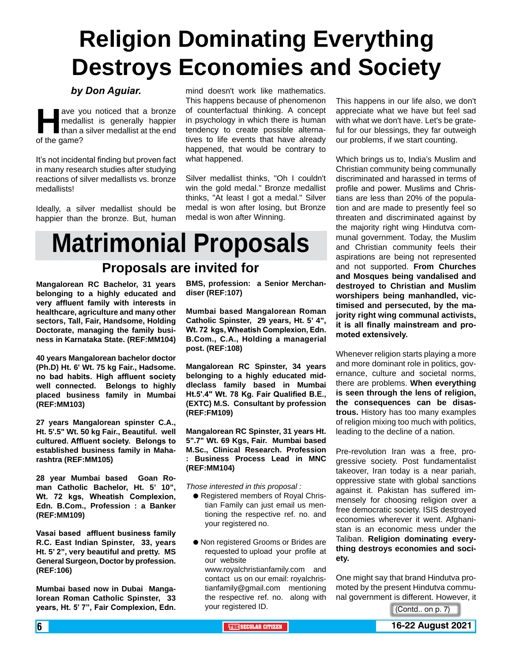# **Religion Dominating Everything Destroys Economies and Society**

### *by Don Aguiar.*

ave you noticed that a bronze<br>medallist is generally happier<br>than a silver medallist at the end<br>of the game? medallist is generally happier than a silver medallist at the end of the game?

It's not incidental finding but proven fact in many research studies after studying reactions of silver medallists vs. bronze medallists!

Ideally, a silver medallist should be happier than the bronze. But, human

mind doesn't work like mathematics. This happens because of phenomenon of counterfactual thinking. A concept in psychology in which there is human tendency to create possible alternatives to life events that have already happened, that would be contrary to what happened.

Silver medallist thinks, "Oh I couldn't win the gold medal." Bronze medallist thinks, "At least I got a medal." Silver medal is won after losing, but Bronze medal is won after Winning.

# **Matrimonial Proposals**

## **Proposals are invited for**

**Mangalorean RC Bachelor, 31 years belonging to a highly educated and very affluent family with interests in healthcare, agriculture and many other sectors, Tall, Fair, Handsome, Holding Doctorate, managing the family business in Karnataka State. (REF:MM104)**

**40 years Mangalorean bachelor doctor (Ph.D) Ht. 6' Wt. 75 kg Fair., Hadsome. no bad habits. High affluent society well connected. Belongs to highly placed business family in Mumbai (REF:MM103)**

**27 years Mangalorean spinster C.A., Ht. 5'.5" Wt. 50 kg Fair., Beautiful. well cultured. Affluent society. Belongs to established business family in Maharashtra (REF:MM105)**

**28 year Mumbai based Goan Roman Catholic Bachelor, Ht. 5' 10", Wt. 72 kgs, Wheatish Complexion, Edn. B.Com., Profession : a Banker (REF:MM109)**

**Vasai based affluent business family R.C. East Indian Spinster, 33, years Ht. 5' 2", very beautiful and pretty. MS General Surgeon, Doctor by profession. (REF:106)**

**Mumbai based now in Dubai Mangalorean Roman Catholic Spinster, 33 years, Ht. 5' 7", Fair Complexion, Edn.**  **BMS, profession: a Senior Merchandiser (REF:107)**

**Mumbai based Mangalorean Roman Catholic Spinster, 29 years, Ht. 5' 4", Wt. 72 kgs, Wheatish Complexion, Edn. B.Com., C.A., Holding a managerial post. (REF:108)** 

**Mangalorean RC Spinster, 34 years belonging to a highly educated middleclass family based in Mumbai Ht.5'.4" Wt. 78 Kg. Fair Qualified B.E., (EXTC) M.S. Consultant by profession (REF:FM109)**

**Mangalorean RC Spinster, 31 years Ht. 5".7" Wt. 69 Kgs, Fair. Mumbai based M.Sc., Clinical Research. Profession : Business Process Lead in MNC (REF:MM104)**

*Those interested in this proposal :*

- **e** Registered members of Royal Christian Family can just email us mentioning the respective ref. no. and your registered no.
- $\bullet$  Non registered Grooms or Brides are requested to upload your profile at our website www.royalchristianfamily.com and contact us on our email: royalchristianfamily@gmail.com mentioning the respective ref. no. along with your registered ID.

This happens in our life also, we don't appreciate what we have but feel sad with what we don't have. Let's be grateful for our blessings, they far outweigh our problems, if we start counting.

Which brings us to, India's Muslim and Christian community being communally discriminated and harassed in terms of profile and power. Muslims and Christians are less than 20% of the population and are made to presently feel so threaten and discriminated against by the majority right wing Hindutva communal government. Today, the Muslim and Christian community feels their aspirations are being not represented and not supported. **From Churches and Mosques being vandalised and destroyed to Christian and Muslim worshipers being manhandled, victimised and persecuted, by the majority right wing communal activists, it is all finally mainstream and promoted extensively.** 

Whenever religion starts playing a more and more dominant role in politics, governance, culture and societal norms, there are problems. **When everything is seen through the lens of religion, the consequences can be disastrous.** History has too many examples of religion mixing too much with politics, leading to the decline of a nation.

Pre-revolution Iran was a free, progressive society. Post fundamentalist takeover, Iran today is a near pariah, oppressive state with global sanctions against it. Pakistan has suffered immensely for choosing religion over a free democratic society. ISIS destroyed economies wherever it went. Afghanistan is an economic mess under the Taliban. **Religion dominating everything destroys economies and society.**

One might say that brand Hindutva promoted by the present Hindutva communal government is different. However, it

(Contd.. on p. 7)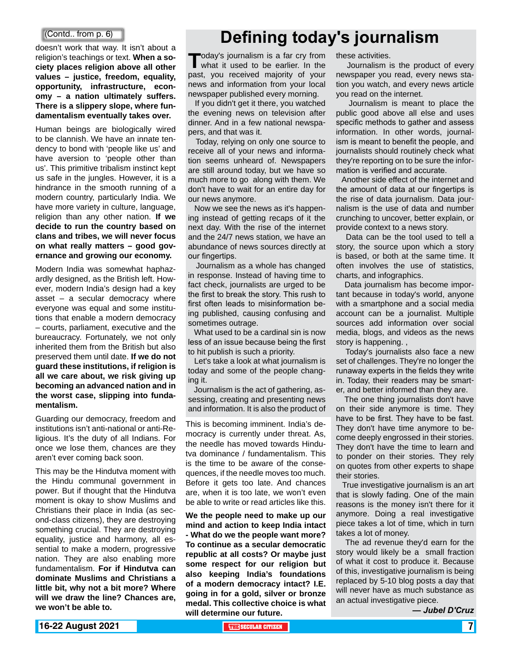doesn't work that way. It isn't about a religion's teachings or text. **When a society places religion above all other values – justice, freedom, equality, opportunity, infrastructure, economy – a nation ultimately suffers. There is a slippery slope, where fundamentalism eventually takes over.**

Human beings are biologically wired to be clannish. We have an innate tendency to bond with 'people like us' and have aversion to 'people other than us'. This primitive tribalism instinct kept us safe in the jungles. However, it is a hindrance in the smooth running of a modern country, particularly India. We have more variety in culture, language, religion than any other nation. **If we decide to run the country based on clans and tribes, we will never focus on what really matters – good governance and growing our economy.**

Modern India was somewhat haphazardly designed, as the British left. However, modern India's design had a key asset – a secular democracy where everyone was equal and some institutions that enable a modern democracy – courts, parliament, executive and the bureaucracy. Fortunately, we not only inherited them from the British but also preserved them until date. **If we do not guard these institutions, if religion is all we care about, we risk giving up becoming an advanced nation and in the worst case, slipping into fundamentalism.**

Guarding our democracy, freedom and institutions isn't anti-national or anti-Religious. It's the duty of all Indians. For once we lose them, chances are they aren't ever coming back soon.

This may be the Hindutva moment with the Hindu communal government in power. But if thought that the Hindutva moment is okay to show Muslims and Christians their place in India (as second-class citizens), they are destroying something crucial. They are destroying equality, justice and harmony, all essential to make a modern, progressive nation. They are also enabling more fundamentalism. **For if Hindutva can dominate Muslims and Christians a little bit, why not a bit more? Where will we draw the line? Chances are, we won't be able to.**

## **Defining today's journalism**

**Today's journalism is a far cry from**<br>what it used to be earlier. In the past, you received majority of your news and information from your local newspaper published every morning.

 If you didn't get it there, you watched the evening news on television after dinner. And in a few national newspapers, and that was it.

 Today, relying on only one source to receive all of your news and information seems unheard of. Newspapers are still around today, but we have so much more to go along with them. We don't have to wait for an entire day for our news anymore.

 Now we see the news as it's happening instead of getting recaps of it the next day. With the rise of the internet and the 24/7 news station, we have an abundance of news sources directly at our fingertips.

 Journalism as a whole has changed in response. Instead of having time to fact check, journalists are urged to be the first to break the story. This rush to first often leads to misinformation being published, causing confusing and sometimes outrage.

 What used to be a cardinal sin is now less of an issue because being the first to hit publish is such a priority.

 Let's take a look at what journalism is today and some of the people changing it.

 Journalism is the act of gathering, assessing, creating and presenting news and information. It is also the product of

This is becoming imminent. India's democracy is currently under threat. As, the needle has moved towards Hindutva dominance / fundamentalism. This is the time to be aware of the consequences, if the needle moves too much. Before it gets too late. And chances are, when it is too late, we won't even be able to write or read articles like this.

**We the people need to make up our mind and action to keep India intact - What do we the people want more? To continue as a secular democratic republic at all costs? Or maybe just some respect for our religion but also keeping India's foundations of a modern democracy intact? I.E. going in for a gold, silver or bronze medal. This collective choice is what will determine our future.**

these activities.

 Journalism is the product of every newspaper you read, every news station you watch, and every news article you read on the internet.

 Journalism is meant to place the public good above all else and uses specific methods to gather and assess information. In other words, journalism is meant to benefit the people, and journalists should routinely check what they're reporting on to be sure the information is verified and accurate.

 Another side effect of the internet and the amount of data at our fingertips is the rise of data journalism. Data journalism is the use of data and number crunching to uncover, better explain, or provide context to a news story.

 Data can be the tool used to tell a story, the source upon which a story is based, or both at the same time. It often involves the use of statistics, charts, and infographics.

 Data journalism has become important because in today's world, anyone with a smartphone and a social media account can be a journalist. Multiple sources add information over social media, blogs, and videos as the news story is happening. ,

 Today's journalists also face a new set of challenges. They're no longer the runaway experts in the fields they write in. Today, their readers may be smarter, and better informed than they are.

 The one thing journalists don't have on their side anymore is time. They have to be first. They have to be fast. They don't have time anymore to become deeply engrossed in their stories. They don't have the time to learn and to ponder on their stories. They rely on quotes from other experts to shape their stories.

 True investigative journalism is an art that is slowly fading. One of the main reasons is the money isn't there for it anymore. Doing a real investigative piece takes a lot of time, which in turn takes a lot of money.

 The ad revenue they'd earn for the story would likely be a small fraction of what it cost to produce it. Because of this, investigative journalism is being replaced by 5-10 blog posts a day that will never have as much substance as an actual investigative piece.

*— Jubel D'Cruz*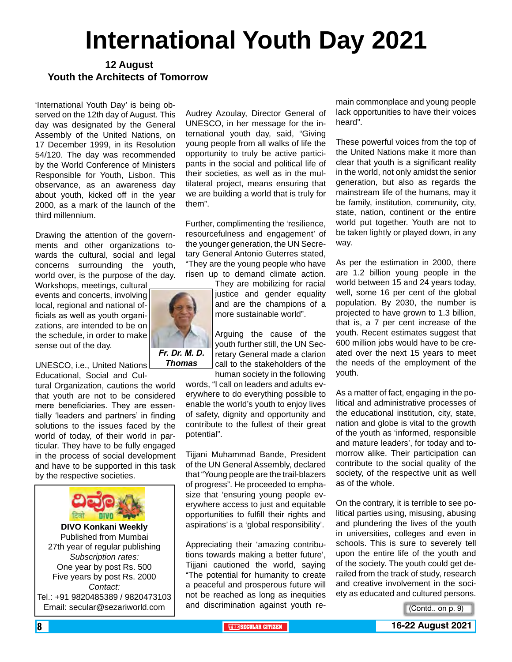# **International Youth Day 2021**

### **12 August Youth the Architects of Tomorrow**

'International Youth Day' is being observed on the 12th day of August. This day was designated by the General Assembly of the United Nations, on 17 December 1999, in its Resolution 54/120. The day was recommended by the World Conference of Ministers Responsible for Youth, Lisbon. This observance, as an awareness day about youth, kicked off in the year 2000, as a mark of the launch of the third millennium.

Drawing the attention of the governments and other organizations towards the cultural, social and legal concerns surrounding the youth, world over, is the purpose of the day.

Workshops, meetings, cultural events and concerts, involving local, regional and national officials as well as youth organizations, are intended to be on the schedule, in order to make sense out of the day.

UNESCO, i.e., United Nations Educational, Social and Cul-

tural Organization, cautions the world that youth are not to be considered mere beneficiaries. They are essentially 'leaders and partners' in finding solutions to the issues faced by the world of today, of their world in particular. They have to be fully engaged in the process of social development and have to be supported in this task by the respective societies.



Published from Mumbai 27th year of regular publishing *Subscription rates:* One year by post Rs. 500 Five years by post Rs. 2000 *Contact:*  Tel.: +91 9820485389 / 9820473103 Email: secular@sezariworld.com

Audrey Azoulay, Director General of UNESCO, in her message for the international youth day, said, "Giving young people from all walks of life the opportunity to truly be active participants in the social and political life of their societies, as well as in the multilateral project, means ensuring that we are building a world that is truly for them".

Further, complimenting the 'resilience, resourcefulness and engagement' of the younger generation, the UN Secretary General Antonio Guterres stated, "They are the young people who have risen up to demand climate action.

They are mobilizing for racial justice and gender equality and are the champions of a more sustainable world".

Arguing the cause of the youth further still, the UN Secretary General made a clarion call to the stakeholders of the human society in the following

words, "I call on leaders and adults everywhere to do everything possible to enable the world's youth to enjoy lives of safety, dignity and opportunity and contribute to the fullest of their great potential".

Tijjani Muhammad Bande, President of the UN General Assembly, declared that "Young people are the trail-blazers of progress". He proceeded to emphasize that 'ensuring young people everywhere access to just and equitable opportunities to fulfill their rights and aspirations' is a 'global responsibility'.

Appreciating their 'amazing contributions towards making a better future', Tijjani cautioned the world, saying "The potential for humanity to create a peaceful and prosperous future will not be reached as long as inequities and discrimination against youth re-

main commonplace and young people lack opportunities to have their voices heard".

These powerful voices from the top of the United Nations make it more than clear that youth is a significant reality in the world, not only amidst the senior generation, but also as regards the mainstream life of the humans, may it be family, institution, community, city, state, nation, continent or the entire world put together. Youth are not to be taken lightly or played down, in any way.

As per the estimation in 2000, there are 1.2 billion young people in the world between 15 and 24 years today, well, some 16 per cent of the global population. By 2030, the number is projected to have grown to 1.3 billion, that is, a 7 per cent increase of the youth. Recent estimates suggest that 600 million jobs would have to be created over the next 15 years to meet the needs of the employment of the youth.

As a matter of fact, engaging in the political and administrative processes of the educational institution, city, state, nation and globe is vital to the growth of the youth as 'informed, responsible and mature leaders', for today and tomorrow alike. Their participation can contribute to the social quality of the society, of the respective unit as well as of the whole.

On the contrary, it is terrible to see political parties using, misusing, abusing and plundering the lives of the youth in universities, colleges and even in schools. This is sure to severely tell upon the entire life of the youth and of the society. The youth could get derailed from the track of study, research and creative involvement in the society as educated and cultured persons.

(Contd.. on p. 9)

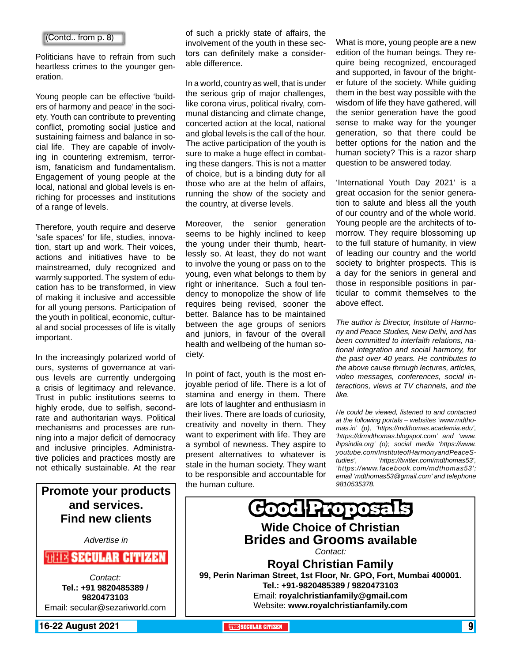#### (Contd.. from p. 8)

Politicians have to refrain from such heartless crimes to the younger generation.

Young people can be effective 'builders of harmony and peace' in the society. Youth can contribute to preventing conflict, promoting social justice and sustaining fairness and balance in social life. They are capable of involving in countering extremism, terrorism, fanaticism and fundamentalism. Engagement of young people at the local, national and global levels is enriching for processes and institutions of a range of levels.

Therefore, youth require and deserve 'safe spaces' for life, studies, innovation, start up and work. Their voices, actions and initiatives have to be mainstreamed, duly recognized and warmly supported. The system of education has to be transformed, in view of making it inclusive and accessible for all young persons. Participation of the youth in political, economic, cultural and social processes of life is vitally important.

In the increasingly polarized world of ours, systems of governance at various levels are currently undergoing a crisis of legitimacy and relevance. Trust in public institutions seems to highly erode, due to selfish, secondrate and authoritarian ways. Political mechanisms and processes are running into a major deficit of democracy and inclusive principles. Administrative policies and practices mostly are not ethically sustainable. At the rear

**Promote your products and services. Find new clients** *Advertise in* **THEIR SECULAR CITIZEN** *Contact:* **Tel.: +91 9820485389 / 9820473103** Email: secular@sezariworld.com

**16-22 August 2021 The City of the Secular Citizen 1 and 2021 <b>Contact 2021 SECULAR CITIZEN** 9

of such a prickly state of affairs, the involvement of the youth in these sectors can definitely make a considerable difference.

In a world, country as well, that is under the serious grip of major challenges, like corona virus, political rivalry, communal distancing and climate change, concerted action at the local, national and global levels is the call of the hour. The active participation of the youth is sure to make a huge effect in combating these dangers. This is not a matter of choice, but is a binding duty for all those who are at the helm of affairs, running the show of the society and the country, at diverse levels.

Moreover, the senior generation seems to be highly inclined to keep the young under their thumb, heartlessly so. At least, they do not want to involve the young or pass on to the young, even what belongs to them by right or inheritance. Such a foul tendency to monopolize the show of life requires being revised, sooner the better. Balance has to be maintained between the age groups of seniors and juniors, in favour of the overall health and wellbeing of the human society.

In point of fact, youth is the most enjoyable period of life. There is a lot of stamina and energy in them. There are lots of laughter and enthusiasm in their lives. There are loads of curiosity, creativity and novelty in them. They want to experiment with life. They are a symbol of newness. They aspire to present alternatives to whatever is stale in the human society. They want to be responsible and accountable for the human culture.

What is more, young people are a new edition of the human beings. They require being recognized, encouraged and supported, in favour of the brighter future of the society. While guiding them in the best way possible with the wisdom of life they have gathered, will the senior generation have the good sense to make way for the younger generation, so that there could be better options for the nation and the human society? This is a razor sharp question to be answered today.

'International Youth Day 2021' is a great occasion for the senior generation to salute and bless all the youth of our country and of the whole world. Young people are the architects of tomorrow. They require blossoming up to the full stature of humanity, in view of leading our country and the world society to brighter prospects. This is a day for the seniors in general and those in responsible positions in particular to commit themselves to the above effect.

*The author is Director, Institute of Harmony and Peace Studies, New Delhi, and has been committed to interfaith relations, national integration and social harmony, for the past over 40 years. He contributes to the above cause through lectures, articles, video messages, conferences, social interactions, views at TV channels, and the like.* 

*He could be viewed, listened to and contacted at the following portals – websites 'www.mdthomas.in' (p), 'https://mdthomas.academia.edu', 'https://drmdthomas.blogspot.com' and 'www. ihpsindia.org' (o); social media 'https://www. youtube.com/InstituteofHarmonyandPeaceStudies', 'https://twitter.com/mdthomas53', 'https://www.facebook.com/mdthomas53'; email 'mdthomas53@gmail.com' and telephone 9810535378.*

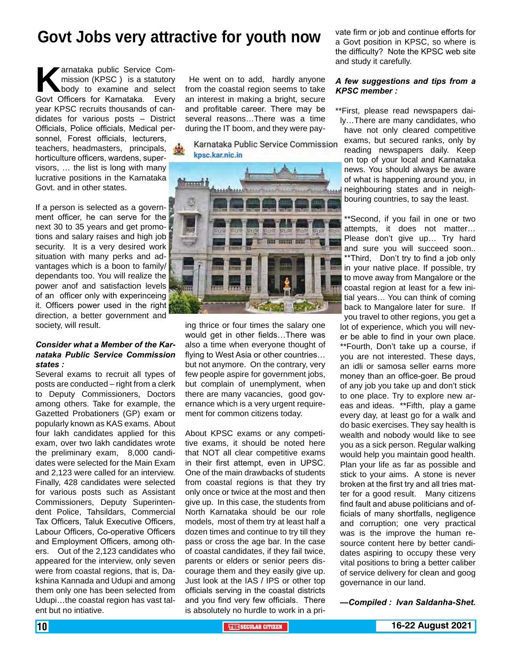## **Govt Jobs very attractive for youth now**

**Karnataka public Service Com-**<br>
mission (KPSC ) is a statutory<br>
Govt Officers for Karnataka. Everv mission (KPSC ) is a statutory body to examine and select Govt Officers for Karnataka. Every year KPSC recruits thousands of candidates for various posts – District Officials, Police officials, Medical personnel, Forest officials, lecturers, teachers, headmasters, principals, horticulture officers, wardens, supervisors, … the list is long with many lucrative positions in the Karnataka Govt. and in other states.

If a person is selected as a government officer, he can serve for the next 30 to 35 years and get promotions and salary raises and high job security. It is a very desired work situation with many perks and advantages which is a boon to family/ dependants too. You will realize the power anof and satisfaction levels of an officer only with experinceing it. Officers power used in the right direction, a better government and society, will result.

#### *Consider what a Member of the Karnataka Public Service Commission states :*

Several exams to recruit all types of posts are conducted – right from a clerk to Deputy Commissioners, Doctors among others. Take for example, the Gazetted Probationers (GP) exam or popularly known as KAS exams. About four lakh candidates applied for this exam, over two lakh candidates wrote the preliminary exam, 8,000 candidates were selected for the Main Exam and 2,123 were called for an interview. Finally, 428 candidates were selected for various posts such as Assistant Commissioners, Deputy Superintendent Police, Tahsildars, Commercial Tax Officers, Taluk Executive Officers, Labour Officers, Co-operative Officers and Employment Officers, among others. Out of the 2,123 candidates who appeared for the interview, only seven were from coastal regions, that is, Dakshina Kannada and Udupi and among them only one has been selected from Udupi…the coastal region has vast talent but no intiative.

He went on to add, hardly anyone from the coastal region seems to take an interest in making a bright, secure and profitable career. There may be several reasons…There was a time during the IT boom, and they were pay-

Karnataka Public Service Commission kpsc.kar.nic.in



ing thrice or four times the salary one would get in other fields…There was also a time when everyone thought of flying to West Asia or other countries… but not anymore. On the contrary, very few people aspire for government jobs, but complain of unemplyment, when there are many vacancies, good governance which is a very urgent requirement for common citizens today.

About KPSC exams or any competitive exams, it should be noted here that NOT all clear competitive exams in their first attempt, even in UPSC. One of the main drawbacks of students from coastal regions is that they try only once or twice at the most and then give up. In this case, the students from North Karnataka should be our role models, most of them try at least half a dozen times and continue to try till they pass or cross the age bar. In the case of coastal candidates, if they fail twice, parents or elders or senior peers discourage them and they easily give up. Just look at the IAS / IPS or other top officials serving in the coastal districts and you find very few officials. There is absolutely no hurdle to work in a private firm or job and continue efforts for a Govt position in KPSC, so where is the difficulty? Note the KPSC web site and study it carefully.

#### *A few suggestions and tips from a KPSC member :*

\*\*First, please read newspapers daily…There are many candidates, who have not only cleared competitive exams, but secured ranks, only by reading newspapers daily. Keep on top of your local and Karnataka news. You should always be aware of what is happening around you, in neighbouring states and in neighbouring countries, to say the least.

\*\*Second, if you fail in one or two attempts, it does not matter… Please don't give up… Try hard and sure you will succeed soon.. \*\*Third, Don't try to find a job only **now** in your native place. If possible, try to move away from Mangalore or the coastal region at least for a few initial years… You can think of coming back to Mangalore later for sure. If you travel to other regions, you get a lot of experience, which you will never be able to find in your own place. \*\*Fourth, Don't take up a course, if you are not interested. These days, an idli or samosa seller earns more money than an office-goer. Be proud of any job you take up and don't stick to one place. Try to explore new areas and ideas. \*\*Fifth, play a game every day, at least go for a walk and do basic exercises. They say health is wealth and nobody would like to see you as a sick person. Regular walking would help you maintain good health. Plan your life as far as possible and stick to your aims. A stone is never broken at the first try and all tries matter for a good result. Many citizens find fault and abuse politicians and officials of many shortfalls, negligence and corruption; one very practical was is the improve the human resource content here by better candidates aspiring to occupy these very vital positions to bring a better caliber of service delivery for clean and goog governance in our land.

*—Compiled : Ivan Saldanha-Shet.*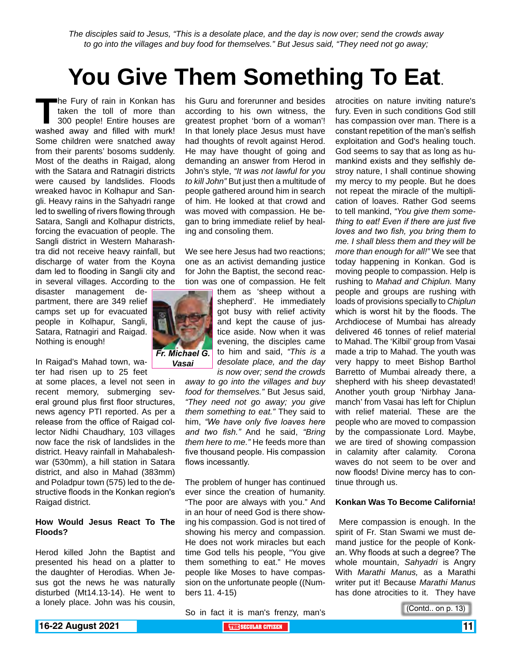*The disciples said to Jesus, "This is a desolate place, and the day is now over; send the crowds away to go into the villages and buy food for themselves." But Jesus said, "They need not go away;*

# **You Give Them Something To Eat**.

**The Fury of rain in Konkan has<br>taken the toll of more than<br>300 people! Entire houses are<br>washed away and filled with murk!** taken the toll of more than 300 people! Entire houses are washed away and filled with murk! Some children were snatched away from their parents' bosoms suddenly. Most of the deaths in Raigad, along with the Satara and Ratnagiri districts were caused by landslides. Floods wreaked havoc in Kolhapur and Sangli. Heavy rains in the Sahyadri range led to swelling of rivers flowing through Satara, Sangli and Kolhapur districts, forcing the evacuation of people. The Sangli district in Western Maharashtra did not receive heavy rainfall, but discharge of water from the Koyna dam led to flooding in Sangli city and in several villages. According to the

disaster management department, there are 349 relief camps set up for evacuated people in Kolhapur, Sangli, Satara, Ratnagiri and Raigad. Nothing is enough!

In Raigad's Mahad town, water had risen up to 25 feet

at some places, a level not seen in recent memory, submerging several ground plus first floor structures, news agency PTI reported. As per a release from the office of Raigad collector Nidhi Chaudhary, 103 villages now face the risk of landslides in the district. Heavy rainfall in Mahabaleshwar (530mm), a hill station in Satara district, and also in Mahad (383mm) and Poladpur town (575) led to the destructive floods in the Konkan region's Raigad district.

#### **How Would Jesus React To The Floods?**

Herod killed John the Baptist and presented his head on a platter to the daughter of Herodias. When Jesus got the news he was naturally disturbed (Mt14.13-14). He went to a lonely place. John was his cousin,

his Guru and forerunner and besides according to his own witness, the greatest prophet 'born of a woman'! In that lonely place Jesus must have had thoughts of revolt against Herod. He may have thought of going and demanding an answer from Herod in John's style, *"It was not lawful for you to kill John"* But just then a multitude of people gathered around him in search of him. He looked at that crowd and was moved with compassion. He began to bring immediate relief by healing and consoling them.

We see here Jesus had two reactions; one as an activist demanding justice for John the Baptist, the second reaction was one of compassion. He felt



them as 'sheep without a shepherd'. He immediately got busy with relief activity and kept the cause of justice aside. Now when it was evening, the disciples came to him and said, *"This is a desolate place, and the day is now over; send the crowds* 

*away to go into the villages and buy food for themselves."* But Jesus said, *"They need not go away; you give them something to eat."* They said to him, *"We have only five loaves here and two fish."* And he said, *"Bring them here to me."* He feeds more than five thousand people. His compassion flows incessantly.

The problem of hunger has continued ever since the creation of humanity. "The poor are always with you." And in an hour of need God is there showing his compassion. God is not tired of showing his mercy and compassion. He does not work miracles but each time God tells his people, "You give them something to eat." He moves people like Moses to have compassion on the unfortunate people ((Numbers 11. 4-15)

atrocities on nature inviting nature's fury. Even in such conditions God still has compassion over man. There is a constant repetition of the man's selfish exploitation and God's healing touch. God seems to say that as long as humankind exists and they selfishly destroy nature, I shall continue showing my mercy to my people. But he does not repeat the miracle of the multiplication of loaves. Rather God seems to tell mankind, *"You give them something to eat! Even if there are just five loves and two fish, you bring them to me. I shall bless them and they will be more than enough for all!"* We see that today happening in Konkan. God is moving people to compassion. Help is rushing to *Mahad and Chiplun.* Many people and groups are rushing with loads of provisions specially to *Chiplun* which is worst hit by the floods. The Archdiocese of Mumbai has already delivered 46 tonnes of relief material to Mahad. The 'Kilbil' group from Vasai made a trip to Mahad. The youth was very happy to meet Bishop Barthol Barretto of Mumbai already there, a shepherd with his sheep devastated! Another youth group 'Nirbhay Janamanch' from Vasai has left for Chiplun with relief material. These are the people who are moved to compassion by the compassionate Lord. Maybe, we are tired of showing compassion in calamity after calamity. Corona waves do not seem to be over and now floods! Divine mercy has to continue through us.

### **Konkan Was To Become California!**

 Mere compassion is enough. In the spirit of Fr. Stan Swami we must demand justice for the people of Konkan. Why floods at such a degree? The whole mountain, *Sahyadri* is Angry With *Marathi Manus,* as a Marathi writer put it! Because *Marathi Manus* has done atrocities to it. They have

So in fact it is man's frenzy, man's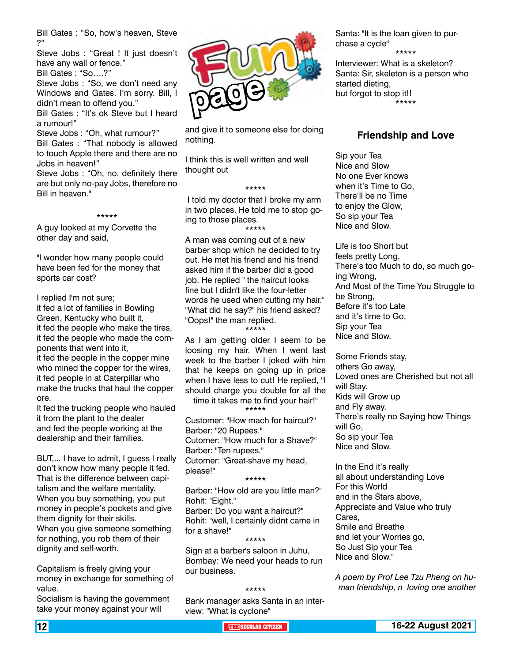Bill Gates : "So, how's heaven, Steve ?"

Steve Jobs : "Great ! It just doesn't have any wall or fence."

Bill Gates : "So….?"

Steve Jobs : "So, we don't need any Windows and Gates. I'm sorry. Bill, I didn't mean to offend you."

Bill Gates : "It's ok Steve but I heard a rumour!"

Steve Jobs : "Oh, what rumour?" Bill Gates : "That nobody is allowed to touch Apple there and there are no Jobs in heaven!"

Steve Jobs : "Oh, no, definitely there are but only no-pay Jobs, therefore no Bill in heaven."

\*\*\*\*\*

A guy looked at my Corvette the other day and said,

"I wonder how many people could have been fed for the money that sports car cost?

I replied I'm not sure;

it fed a lot of families in Bowling Green, Kentucky who built it, it fed the people who make the tires, it fed the people who made the components that went into it, it fed the people in the copper mine who mined the copper for the wires, it fed people in at Caterpillar who make the trucks that haul the copper ore.

It fed the trucking people who hauled it from the plant to the dealer and fed the people working at the dealership and their families.

BUT,... I have to admit, I guess I really don't know how many people it fed. That is the difference between capitalism and the welfare mentality. When you buy something, you put money in people's pockets and give them dignity for their skills. When you give someone something for nothing, you rob them of their dignity and self-worth.

Capitalism is freely giving your money in exchange for something of value.

Socialism is having the government take your money against your will



and give it to someone else for doing nothing.

I think this is well written and well thought out

 I told my doctor that I broke my arm in two places. He told me to stop going to those places. \*\*\*\*\*

\*\*\*\*\*

A man was coming out of a new barber shop which he decided to try out. He met his friend and his friend asked him if the barber did a good job. He replied " the haircut looks fine but I didn't like the four-letter words he used when cutting my hair." "What did he say?" his friend asked? "Oops!" the man replied.

\*\*\*\*\*

As I am getting older I seem to be loosing my hair. When I went last week to the barber I joked with him that he keeps on going up in price when I have less to cut! He replied, "I should charge you double for all the

time it takes me to find your hair!" \*\*\*\*\*

Customer: "How mach for haircut?" Barber: "20 Rupees." Cutomer: "How much for a Shave?" Barber: "Ten rupees." Cutomer: "Great-shave my head, please!" \*\*\*\*\*

Barber: "How old are you little man?" Rohit: "Eight." Barber: Do you want a haircut?" Rohit: "well, I certainly didnt came in for a shave!"

\*\*\*\*\* Sign at a barber's saloon in Juhu, Bombay: We need your heads to run our business.

#### \*\*\*\*\*

Bank manager asks Santa in an interview: "What is cyclone"

Santa: "It is the loan given to purchase a cycle"

\*\*\*\*\*

Interviewer: What is a skeleton? Santa: Sir, skeleton is a person who started dieting, but forgot to stop it!! \*\*\*\*\*

### **Friendship and Love**

Sip your Tea Nice and Slow No one Ever knows when it's Time to Go, There'll be no Time to enjoy the Glow, So sip your Tea Nice and Slow.

Life is too Short but feels pretty Long, There's too Much to do, so much going Wrong, And Most of the Time You Struggle to be Strong, Before it's too Late and it's time to Go, Sip your Tea Nice and Slow.

Some Friends stay, others Go away, Loved ones are Cherished but not all will Stay. Kids will Grow up and Fly away. There's really no Saying how Things will Go, So sip your Tea Nice and Slow.

In the End it's really all about understanding Love For this World and in the Stars above, Appreciate and Value who truly Cares, Smile and Breathe and let your Worries go, So Just Sip your Tea Nice and Slow."

*A poem by Prof Lee Tzu Pheng on human friendship, n loving one another*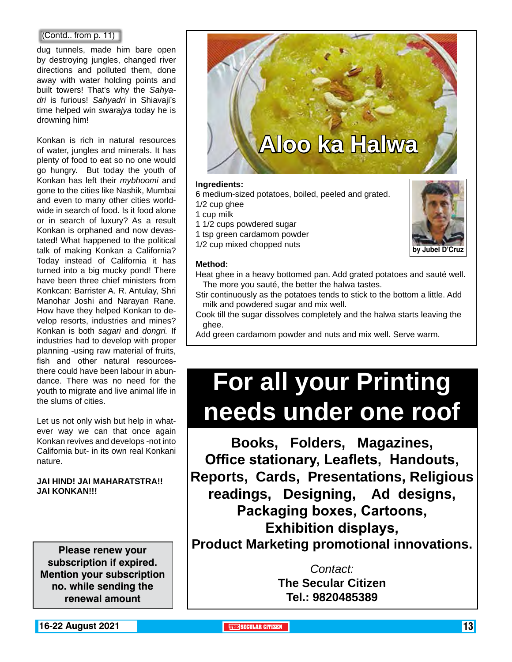#### (Contd.. from p. 11)

dug tunnels, made him bare open by destroying jungles, changed river directions and polluted them, done away with water holding points and built towers! That's why the *Sahyadri* is furious! *Sahyadri* in Shiavaji's time helped win *swarajya* today he is drowning him!

Konkan is rich in natural resources of water, jungles and minerals. It has plenty of food to eat so no one would go hungry. But today the youth of Konkan has left their *mybhoomi* and gone to the cities like Nashik, Mumbai and even to many other cities worldwide in search of food. Is it food alone or in search of luxury? As a result Konkan is orphaned and now devastated! What happened to the political talk of making Konkan a California? Today instead of California it has turned into a big mucky pond! There have been three chief ministers from Konkcan: Barrister A. R. Antulay, Shri Manohar Joshi and Narayan Rane. How have they helped Konkan to develop resorts, industries and mines? Konkan is both *sagari* and *dongri.* If industries had to develop with proper planning -using raw material of fruits, fish and other natural resourcesthere could have been labour in abundance. There was no need for the youth to migrate and live animal life in the slums of cities.

Let us not only wish but help in whatever way we can that once again Konkan revives and develops -not into California but- in its own real Konkani nature.

### **JAI HIND! JAI MAHARATSTRA!! JAI KONKAN!!!**

**Please renew your subscription if expired. Mention your subscription no. while sending the renewal amount**



### **Ingredients:**

6 medium-sized potatoes, boiled, peeled and grated.

- 1/2 cup ghee
- 1 cup milk
- 1 1/2 cups powdered sugar
- 1 tsp green cardamom powder
- 1/2 cup mixed chopped nuts



#### **Method:**

Heat ghee in a heavy bottomed pan. Add grated potatoes and sauté well. The more you sauté, the better the halwa tastes.

- Stir continuously as the potatoes tends to stick to the bottom a little. Add milk and powdered sugar and mix well.
- Cook till the sugar dissolves completely and the halwa starts leaving the ghee.

Add green cardamom powder and nuts and mix well. Serve warm.

# **For all your Printing needs under one roof**

**Books, Folders, Magazines, Office stationary, Leaflets, Handouts, Reports, Cards, Presentations, Religious readings, Designing, Ad designs, Packaging boxes, Cartoons, Exhibition displays, Product Marketing promotional innovations.**

> *Contact:* **The Secular Citizen Tel.: 9820485389**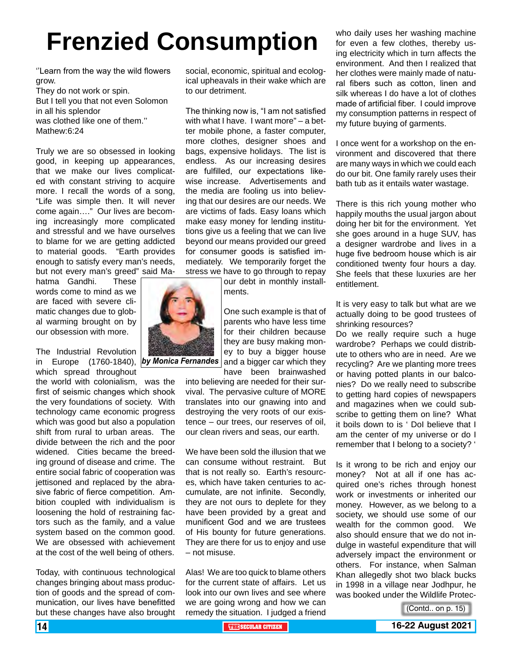# **Frenzied Consumption**

''Learn from the way the wild flowers grow. They do not work or spin. But I tell you that not even Solomon in all his splendor was clothed like one of them.'' Mathew:6:24

Truly we are so obsessed in looking good, in keeping up appearances, that we make our lives complicated with constant striving to acquire more. I recall the words of a song, "Life was simple then. It will never come again…." Our lives are becoming increasingly more complicated and stressful and we have ourselves to blame for we are getting addicted to material goods. "Earth provides enough to satisfy every man's needs, but not every man's greed" said Ma-

hatma Gandhi. These words come to mind as we are faced with severe climatic changes due to global warming brought on by our obsession with more.

The Industrial Revolution in Europe (1760-1840), *by Monica Fernandes* which spread throughout

the world with colonialism, was the first of seismic changes which shook the very foundations of society. With technology came economic progress which was good but also a population shift from rural to urban areas. The divide between the rich and the poor widened. Cities became the breeding ground of disease and crime. The entire social fabric of cooperation was jettisoned and replaced by the abrasive fabric of fierce competition. Ambition coupled with individualism is loosening the hold of restraining factors such as the family, and a value system based on the common good. We are obsessed with achievement at the cost of the well being of others.

Today, with continuous technological changes bringing about mass production of goods and the spread of communication, our lives have benefitted but these changes have also brought social, economic, spiritual and ecological upheavals in their wake which are to our detriment.

The thinking now is, "I am not satisfied with what I have. I want more" – a better mobile phone, a faster computer, more clothes, designer shoes and bags, expensive holidays. The list is endless. As our increasing desires are fulfilled, our expectations likewise increase. Advertisements and the media are fooling us into believing that our desires are our needs. We are victims of fads. Easy loans which make easy money for lending institutions give us a feeling that we can live beyond our means provided our greed for consumer goods is satisfied immediately. We temporarily forget the stress we have to go through to repay

our debt in monthly installments.

One such example is that of parents who have less time for their children because they are busy making money to buy a bigger house and a bigger car which they have been brainwashed

into believing are needed for their survival. The pervasive culture of MORE translates into our gnawing into and destroying the very roots of our existence – our trees, our reserves of oil, our clean rivers and seas, our earth.

We have been sold the illusion that we can consume without restraint. But that is not really so. Earth's resources, which have taken centuries to accumulate, are not infinite. Secondly, they are not ours to deplete for they have been provided by a great and munificent God and we are trustees of His bounty for future generations. They are there for us to enjoy and use – not misuse.

Alas! We are too quick to blame others for the current state of affairs. Let us look into our own lives and see where we are going wrong and how we can remedy the situation. I judged a friend

who daily uses her washing machine for even a few clothes, thereby using electricity which in turn affects the environment. And then I realized that her clothes were mainly made of natural fibers such as cotton, linen and silk whereas I do have a lot of clothes made of artificial fiber. I could improve my consumption patterns in respect of my future buying of garments.

I once went for a workshop on the environment and discovered that there are many ways in which we could each do our bit. One family rarely uses their bath tub as it entails water wastage.

There is this rich young mother who happily mouths the usual jargon about doing her bit for the environment. Yet she goes around in a huge SUV, has a designer wardrobe and lives in a huge five bedroom house which is air conditioned twenty four hours a day. She feels that these luxuries are her entitlement.

It is very easy to talk but what are we actually doing to be good trustees of shrinking resources?

Do we really require such a huge wardrobe? Perhaps we could distribute to others who are in need. Are we recycling? Are we planting more trees or having potted plants in our balconies? Do we really need to subscribe to getting hard copies of newspapers and magazines when we could subscribe to getting them on line? What it boils down to is ' DoI believe that I am the center of my universe or do I remember that I belong to a society? '

Is it wrong to be rich and enjoy our money? Not at all if one has acquired one's riches through honest work or investments or inherited our money. However, as we belong to a society, we should use some of our wealth for the common good. We also should ensure that we do not indulge in wasteful expenditure that will adversely impact the environment or others. For instance, when Salman Khan allegedly shot two black bucks in 1998 in a village near Jodhpur, he was booked under the Wildlife Protec-

(Contd.. on p. 15)

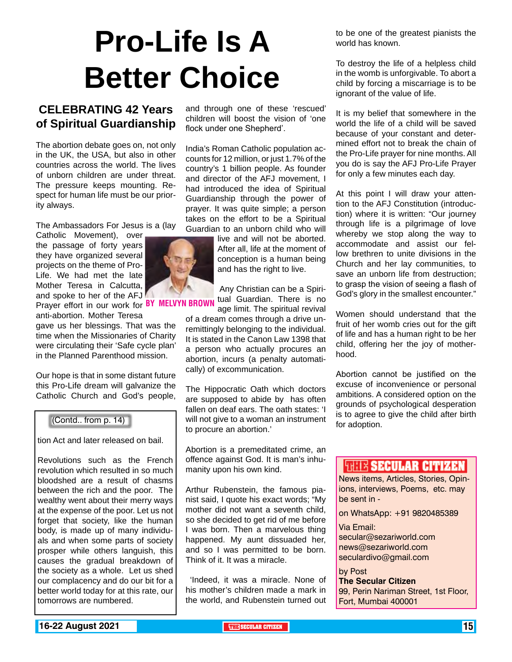# **Pro-Life Is A Better Choice**

### **CELEBRATING 42 Years of Spiritual Guardianship**

The abortion debate goes on, not only in the UK, the USA, but also in other countries across the world. The lives of unborn children are under threat. The pressure keeps mounting. Respect for human life must be our priority always.

The Ambassadors For Jesus is a (lay

Catholic Movement), over the passage of forty years they have organized several projects on the theme of Pro-Life. We had met the late Mother Teresa in Calcutta, and spoke to her of the AFJ Prayer effort in our work for BY MELVYN BR

anti-abortion. Mother Teresa gave us her blessings. That was the time when the Missionaries of Charity were circulating their 'Safe cycle plan' in the Planned Parenthood mission.

Our hope is that in some distant future this Pro-Life dream will galvanize the Catholic Church and God's people,

#### (Contd.. from p. 14)

tion Act and later released on bail.

Revolutions such as the French revolution which resulted in so much bloodshed are a result of chasms between the rich and the poor. The wealthy went about their merry ways at the expense of the poor. Let us not forget that society, like the human body, is made up of many individuals and when some parts of society prosper while others languish, this causes the gradual breakdown of the society as a whole. Let us shed our complacency and do our bit for a better world today for at this rate, our tomorrows are numbered.

and through one of these 'rescued' children will boost the vision of 'one flock under one Shepherd'.

India's Roman Catholic population accounts for 12 million, or just 1.7% of the country's 1 billion people. As founder and director of the AFJ movement, I had introduced the idea of Spiritual Guardianship through the power of prayer. It was quite simple; a person takes on the effort to be a Spiritual Guardian to an unborn child who will

> live and will not be aborted. After all, life at the moment of conception is a human being and has the right to live.

 Any Christian can be a Spiritual Guardian. There is no age limit. The spiritual revival

of a dream comes through a drive unremittingly belonging to the individual. It is stated in the Canon Law 1398 that a person who actually procures an abortion, incurs (a penalty automatically) of excommunication.

The Hippocratic Oath which doctors are supposed to abide by has often fallen on deaf ears. The oath states: 'I will not give to a woman an instrument to procure an abortion.'

Abortion is a premeditated crime, an offence against God. It is man's inhumanity upon his own kind.

Arthur Rubenstein, the famous pianist said, I quote his exact words; "My mother did not want a seventh child, so she decided to get rid of me before I was born. Then a marvelous thing happened. My aunt dissuaded her, and so I was permitted to be born. Think of it. It was a miracle.

 'Indeed, it was a miracle. None of his mother's children made a mark in the world, and Rubenstein turned out

to be one of the greatest pianists the world has known.

To destroy the life of a helpless child in the womb is unforgivable. To abort a child by forcing a miscarriage is to be ignorant of the value of life.

It is my belief that somewhere in the world the life of a child will be saved because of your constant and determined effort not to break the chain of the Pro-Life prayer for nine months. All you do is say the AFJ Pro-Life Prayer for only a few minutes each day.

At this point I will draw your attention to the AFJ Constitution (introduction) where it is written: "Our journey through life is a pilgrimage of love whereby we stop along the way to accommodate and assist our fellow brethren to unite divisions in the Church and her lay communities, to save an unborn life from destruction; to grasp the vision of seeing a flash of God's glory in the smallest encounter."

Women should understand that the fruit of her womb cries out for the gift of life and has a human right to be her child, offering her the joy of motherhood.

Abortion cannot be justified on the excuse of inconvenience or personal ambitions. A considered option on the grounds of psychological desperation is to agree to give the child after birth for adoption.

### **WHIR SECULAR CITIZEN**

News items, Articles, Stories, Opinions, interviews, Poems, etc. may be sent in -

on WhatsApp: +91 9820485389

Via Email: secular@sezariworld.com news@sezariworld.com seculardivo@gmail.com

by Post **The Secular Citizen** 99, Perin Nariman Street, 1st Floor, Fort, Mumbai 400001

**16-22 August 2021 THE SECULAR CITIZEN** 15

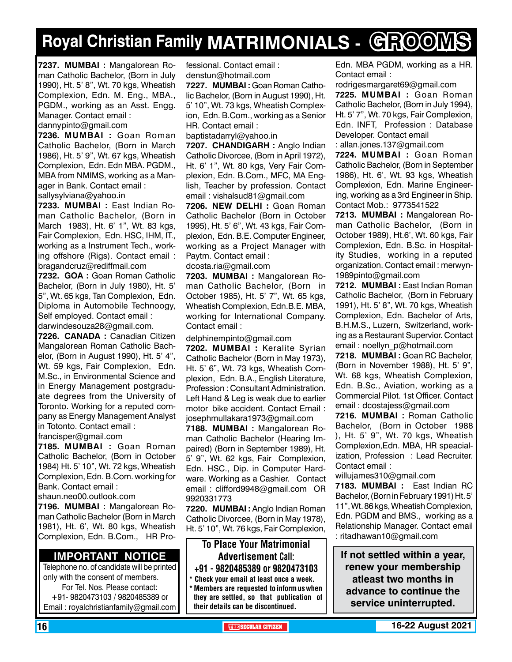# **Royal Christian Family MATRIMONIALS - GROOMS**

**7237. MUMBAI :** Mangalorean Roman Catholic Bachelor, (Born in July 1990), Ht. 5' 8", Wt. 70 kgs, Wheatish Complexion, Edn. M. Eng., MBA., PGDM., working as an Asst. Engg. Manager. Contact email :

dannypinto@gmail.com

**7236. MUMBAI :** Goan Roman Catholic Bachelor, (Born in March 1986), Ht. 5' 9", Wt. 67 kgs, Wheatish Complexion, Edn. Edn MBA. PGDM., MBA from NMIMS, working as a Manager in Bank. Contact email : sallysylviana@yahoo.in

**7233. MUMBAI :** East Indian Roman Catholic Bachelor, (Born in March 1983), Ht. 6' 1", Wt. 83 kgs, Fair Complexion, Edn. HSC, IHM, IT., working as a Instrument Tech., working offshore (Rigs). Contact email : bragandcruz@rediffmail.com

**7232. GOA :** Goan Roman Catholic Bachelor, (Born in July 1980), Ht. 5' 5", Wt. 65 kgs, Tan Complexion, Edn. Diploma in Automobile Technoogy, Self employed. Contact email : darwindesouza28@gmail.com.

**7226. CANADA :** Canadian Citizen Mangalorean Roman Catholic Bachelor, (Born in August 1990), Ht. 5' 4", Wt. 59 kgs, Fair Complexion, Edn. M.Sc., in Environmental Science and in Energy Management postgraduate degrees from the University of Toronto. Working for a reputed company as Energy Management Analyst in Totonto. Contact email : francisper@gmail.com

**7185. MUMBAI :** Goan Roman Catholic Bachelor, (Born in October 1984) Ht. 5' 10", Wt. 72 kgs, Wheatish Complexion, Edn. B.Com. working for Bank. Contact email :

shaun.neo00.outlook.com

**7196. MUMBAI :** Mangalorean Roman Catholic Bachelor (Born in March 1981), Ht. 6', Wt. 80 kgs, Wheatish Complexion, Edn. B.Com., HR Pro-

### **Important Notice**

Telephone no. of candidate will be printed only with the consent of members. For Tel. Nos. Please contact: +91- 9820473103 / 9820485389 or Email : royalchristianfamily@gmail.com

fessional. Contact email : denstun@hotmail.com

**7227. MUMBAI :** Goan Roman Catholic Bachelor, (Born in August 1990), Ht. 5' 10", Wt. 73 kgs, Wheatish Complexion, Edn. B.Com., working as a Senior HR. Contact email :

baptistadarryl@yahoo.in

**7207. Chandigarh :** Anglo Indian Catholic Divorcee, (Born in April 1972), Ht. 6' 1", Wt. 80 kgs, Very Fair Complexion, Edn. B.Com., MFC, MA English, Teacher by profession. Contact email : vishalsud81@gmail.com

**7206. new delhi :** Goan Roman Catholic Bachelor (Born in October 1995), Ht. 5' 6", Wt. 43 kgs, Fair Complexion, Edn. B.E. Computer Engineer, working as a Project Manager with Paytm. Contact email :

#### dcosta.ria@gmail.com

**7203. MUMBAI :** Mangalorean Roman Catholic Bachelor, (Born in October 1985), Ht. 5' 7", Wt. 65 kgs, Wheatish Complexion, Edn.B.E. MBA, working for International Company. Contact email :

delphinempinto@gmail.com

**7202. MUMBAI :** Keralite Syrian Catholic Bachelor (Born in May 1973), Ht. 5' 6", Wt. 73 kgs, Wheatish Complexion, Edn. B.A., English Literature, Profession : Consultant Administration. Left Hand & Leg is weak due to earlier motor bike accident. Contact Email : josephmullakara1973@gmail.com

**7188. MUMBAI :** Mangalorean Roman Catholic Bachelor (Hearing Impaired) (Born in September 1989), Ht. 5' 9", Wt. 62 kgs, Fair Complexion, Edn. HSC., Dip. in Computer Hardware. Working as a Cashier. Contact email : clifford9948@gmail.com OR 9920331773

**7220. MUMBAI :** Anglo Indian Roman Catholic Divorcee, (Born in May 1978), Ht. 5' 10", Wt. 76 kgs, Fair Complexion,

### To Place Your Matrimonial Advertisement Call: +91 - 9820485389 or 9820473103

Check your email at least once a week.

**Members are requested to inform us when** they are settled, so that publication of their details can be discontinued.

Edn. MBA PGDM, working as a HR. Contact email :

rodrigesmargaret69@gmail.com **7225. MUMBAI :** Goan Roman Catholic Bachelor, (Born in July 1994), Ht. 5' 7", Wt. 70 kgs, Fair Complexion, Edn. INFT, Profession : Database Developer. Contact email

: allan.jones.137@gmail.com

**7224. MUMBAI :** Goan Roman Catholic Bachelor, (Born in September 1986), Ht. 6', Wt. 93 kgs, Wheatish Complexion, Edn. Marine Engineering, working as a 3rd Engineer in Ship. Contact Mob.: 9773541522

**7213. MUMBAI :** Mangalorean Roman Catholic Bachelor, (Born in October 1989), Ht.6', Wt. 60 kgs, Fair Complexion, Edn. B.Sc. in Hospitality Studies, working in a reputed organization. Contact email : merwyn-1989pinto@gmail.com

**7212. MUMBAI :** East Indian Roman Catholic Bachelor, (Born in February 1991), Ht. 5' 8", Wt. 70 kgs, Wheatish Complexion, Edn. Bachelor of Arts, B.H.M.S., Luzern, Switzerland, working as a Restaurant Supervior. Contact email : noellyn\_p@hotmail.com

**7218. MUMBAI :** Goan RC Bachelor, (Born in November 1988), Ht. 5' 9", Wt. 68 kgs, Wheatish Complexion, Edn. B.Sc., Aviation, working as a Commercial Pilot. 1st Officer. Contact email : dcostajess@gmail.com

**7216. MUMBAI :** Roman Catholic Bachelor, (Born in October 1988 ), Ht. 5' 9", Wt. 70 kgs, Wheatish Complexion,Edn. MBA, HR speacialization, Profession : Lead Recruiter. Contact email :

willujames310@gmail.com

**7183. MUMBAI :** East Indian RC Bachelor, (Born in February 1991) Ht. 5' 11", Wt. 86 kgs, Wheatish Complexion, Edn. PGDM and BMS., working as a Relationship Manager. Contact email : ritadhawan10@gmail.com

**If not settled within a year, renew your membership atleast two months in advance to continue the service uninterrupted.**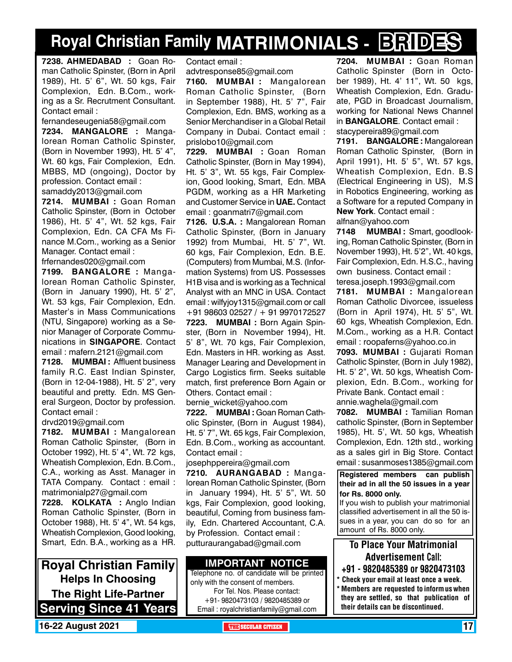## **Royal Christian Family MATRIMONIALS - BRIDES**

**7238. AHMEDABAD :** Goan Roman Catholic Spinster, (Born in April 1989), Ht. 5' 6", Wt. 50 kgs, Fair Complexion, Edn. B.Com., working as a Sr. Recrutment Consultant. Contact email :

fernandeseugenia58@gmail.com **7234. MANGALORE :** Mangalorean Roman Catholic Spinster, (Born in November 1993), Ht. 5' 4", Wt. 60 kgs, Fair Complexion, Edn. MBBS, MD (ongoing), Doctor by profession. Contact email : samaddy2013@gmail.com

**7214. MUMBAI :** Goan Roman Catholic Spinster, (Born in October 1986), Ht. 5' 4", Wt. 52 kgs, Fair Complexion, Edn. CA CFA Ms Finance M.Com., working as a Senior Manager. Contact email :

frfernandes020@gmail.com **7199. BANGALORE :** Mangalorean Roman Catholic Spinster, (Born in January 1990), Ht. 5' 2", Wt. 53 kgs, Fair Complexion, Edn. Master's in Mass Communications (NTU, Singapore) working as a Senior Manager of Corporate Communications in **SINGAPORE**. Contact email : mafern.2121@gmail.com

**7128. MUMBAI :** Affluent business family R.C. East Indian Spinster, (Born in 12-04-1988), Ht. 5' 2", very beautiful and pretty. Edn. MS General Surgeon, Doctor by profession. Contact email :

drvd2019@gmail.com

**7182. MUMBAI :** Mangalorean Roman Catholic Spinster, (Born in October 1992), Ht. 5' 4", Wt. 72 kgs, Wheatish Complexion, Edn. B.Com., C.A., working as Asst. Manager in TATA Company. Contact : email : matrimonialp27@gmail.com

**7228. KOLKATA :** Anglo Indian Roman Catholic Spinster, (Born in October 1988), Ht. 5' 4", Wt. 54 kgs, Wheatish Complexion, Good looking, Smart, Edn. B.A., working as a HR.

**Royal Christian Family Helps In Choosing The Right Life-Partner Serving Since 41 Years** Contact email :

advtresponse85@gmail.com

**7160. MUMBAI :** Mangalorean Roman Catholic Spinster, (Born in September 1988), Ht. 5' 7", Fair Complexion, Edn. BMS, working as a Senior Merchandiser in a Global Retail Company in Dubai. Contact email : prislobo10@gmail.com

**7229. MUMBAI :** Goan Roman Catholic Spinster, (Born in May 1994), Ht. 5' 3", Wt. 55 kgs, Fair Complexion, Good looking, Smart, Edn. MBA PGDM, working as a HR Marketing and Customer Service in **UAE.** Contact email : goanmatri7@gmail.com

**7126. U.S.A. :** Mangalorean Roman Catholic Spinster, (Born in January 1992) from Mumbai, Ht. 5' 7", Wt. 60 kgs, Fair Complexion, Edn. B.E. (Computers) from Mumbai, M.S. (Information Systems) from US. Possesses H1B visa and is working as a Technical Analyst with an MNC in USA. Contact email : wilfyjoy1315@gmail.com or call +91 98603 02527 / + 91 9970172527 **7223. MUMBAI :** Born Again Spinster, (Born in November 1994), Ht. 5' 8", Wt. 70 kgs, Fair Complexion, Edn. Masters in HR. working as Asst. Manager Learing and Development in Cargo Logistics firm. Seeks suitable match, first preference Born Again or Others. Contact email :

bernie\_wicket@yahoo.com

**7222. MUMBAI :** Goan Roman Catholic Spinster, (Born in August 1984), Ht. 5' 7", Wt. 65 kgs, Fair Complexion, Edn. B.Com., working as accountant. Contact email :

josephppereira@gmail.com

**7210. AURANGABAD :** Mangalorean Roman Catholic Spinster, (Born in January 1994), Ht. 5' 5", Wt. 50 kgs, Fair Complexion, good looking, beautiful, Coming from business family, Edn. Chartered Accountant, C.A. by Profession. Contact email : putturaurangabad@gmail.com

### **Important Notice**

Telephone no. of candidate will be printed only with the consent of members. For Tel. Nos. Please contact: +91- 9820473103 / 9820485389 or Email : royalchristianfamily@gmail.com

**7204. MUMBAI :** Goan Roman Catholic Spinster (Born in October 1989), Ht. 4' 11", Wt. 50 kgs, Wheatish Complexion, Edn. Graduate, PGD in Broadcast Journalism, working for National News Channel in **Bangalore**. Contact email : stacypereira89@gmail.com

**7191. BANGALORE :** Mangalorean Roman Catholic Spinster, (Born in April 1991), Ht. 5' 5", Wt. 57 kgs, Wheatish Complexion, Edn. B.S (Electrical Engineering in US), M.S in Robotics Engineering, working as a Software for a reputed Company in **New York**. Contact email : alfnan@yahoo.com

**7148 MUMBAI :** Smart, goodlooking, Roman Catholic Spinster, (Born in November 1993), Ht. 5'2", Wt. 40 kgs, Fair Complexion, Edn. H.S.C., having own business. Contact email : teresa.joseph.1993@gmail.com

**7181. MUMBAI :** Mangalorean Roman Catholic Divorcee, issueless (Born in April 1974), Ht. 5' 5", Wt. 60 kgs, Wheatish Complexion, Edn. M.Com., working as a H.R. Contact email : roopaferns@yahoo.co.in

**7093. MUMBAI :** Gujarati Roman Catholic Spinster, (Born in July 1982), Ht. 5' 2", Wt. 50 kgs, Wheatish Complexion, Edn. B.Com., working for Private Bank. Contact email : annie.waghela@gmail.com

**7082. MUMBAI :** Tamilian Roman catholic Spinster, (Born in September 1985), Ht. 5', Wt. 50 kgs, Wheatish Complexion, Edn. 12th std., working as a sales girl in Big Store. Contact email : susanmoses1385@gmail.com

**Registered members can publish their ad in all the 50 issues in a year for Rs. 8000 only.**

If you wish to publish your matrimonial classified advertisement in all the 50 issues in a year, you can do so for an amount of Rs. 8000 only.

To Place Your Matrimonial Advertisement Call:

- +91 9820485389 or 9820473103
- \* Check your email at least once a week. \* Members are requested to inform us when they are settled, so that publication of their details can be discontinued.

**16-22 August 2021 THE SECULAR CITIZEN** 17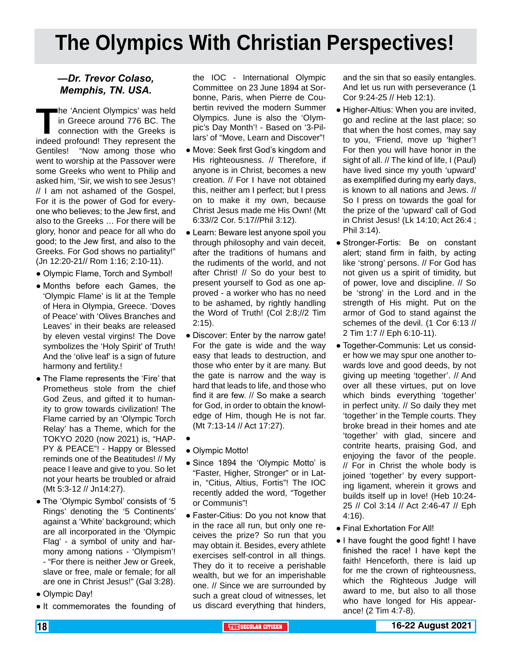# **The Olympics With Christian Perspectives!**

### *—Dr. Trevor Colaso, Memphis, TN. USA.*

**T**he 'Ancient Olympics' was held in Greece around 776 BC. The connection with the Greeks is indeed profound! They represent the Gentiles! "Now among those who went to worship at the Passover were some Greeks who went to Philip and asked him, 'Sir, we wish to see Jesus'! // I am not ashamed of the Gospel, For it is the power of God for everyone who believes; to the Jew first, and also to the Greeks … For there will be glory, honor and peace for all who do good; to the Jew first, and also to the Greeks. For God shows no partiality!" (Jn 12:20-21// Rom 1:16; 2:10-11).

- Olympic Flame, Torch and Symbol!
- Months before each Games, the 'Olympic Flame' is lit at the Temple of Hera in Olympia, Greece. 'Doves of Peace' with 'Olives Branches and Leaves' in their beaks are released by eleven vestal virgins! The Dove symbolizes the 'Holy Spirit' of Truth! And the 'olive leaf' is a sign of future harmony and fertility.!
- The Flame represents the 'Fire' that Prometheus stole from the chief God Zeus, and gifted it to humanity to grow towards civilization! The Flame carried by an 'Olympic Torch Relay' has a Theme, which for the TOKYO 2020 (now 2021) is, "HAP-PY & PEACE"! - Happy or Blessed reminds one of the Beatitudes! // My peace I leave and give to you. So let not your hearts be troubled or afraid (Mt 5:3-12 // Jn14:27).
- The 'Olympic Symbol' consists of '5 Rings' denoting the '5 Continents' against a 'White' background; which are all incorporated in the 'Olympic Flag' - a symbol of unity and harmony among nations - 'Olympism'! - "For there is neither Jew or Greek, slave or free, male or female; for all are one in Christ Jesus!" (Gal 3:28).
- Olympic Day!
- It commemorates the founding of

the IOC - International Olympic Committee on 23 June 1894 at Sorbonne, Paris, when Pierre de Coubertin revived the modern Summer Olympics. June is also the 'OIympic's Day Month'! - Based on '3-Pillars' of "Move, Learn and Discover"!

- Move: Seek first God's kingdom and His righteousness. // Therefore, if anyone is in Christ, becomes a new creation. // For I have not obtained this, neither am I perfect; but I press on to make it my own, because Christ Jesus made me His Own! (Mt 6:33//2 Cor. 5:17//Phil 3:12).
- Learn: Beware lest anyone spoil you through philosophy and vain deceit, after the traditions of humans and the rudiments of the world, and not after Christ! // So do your best to present yourself to God as one approved - a worker who has no need to be ashamed, by rightly handling the Word of Truth! (Col 2:8;//2 Tim 2:15).
- Discover: Enter by the narrow gate! For the gate is wide and the way easy that leads to destruction, and those who enter by it are many. But the gate is narrow and the way is hard that leads to life, and those who find it are few. // So make a search for God, in order to obtain the knowledge of Him, though He is not far. (Mt 7:13-14 // Act 17:27).
- ●
- Olympic Motto!
- Since 1894 the 'Olympic Motto' is "Faster, Higher, Stronger" or in Latin, "Citius, Altius, Fortis"! The IOC recently added the word, "Together or Communis"!
- Faster-Citius: Do you not know that in the race all run, but only one receives the prize? So run that you may obtain it. Besides, every athlete exercises self-control in all things. They do it to receive a perishable wealth, but we for an imperishable one. // Since we are surrounded by such a great cloud of witnesses, let us discard everything that hinders,

and the sin that so easily entangles. And let us run with perseverance (1 Cor 9:24-25 // Heb 12:1).

- Higher-Altius: When you are invited, go and recline at the last place; so that when the host comes, may say to you, 'Friend, move up 'higher'! For then you will have honor in the sight of all. // The kind of life, I (Paul) have lived since my youth 'upward' as exemplified during my early days, is known to all nations and Jews. // So I press on towards the goal for the prize of the 'upward' call of God in Christ Jesus! (Lk 14:10; Act 26:4 ; Phil 3:14).
- Stronger-Fortis: Be on constant alert; stand firm in faith, by acting like 'strong' persons. // For God has not given us a spirit of timidity, but of power, love and discipline. // So be 'strong' in the Lord and in the strength of His might. Put on the armor of God to stand against the schemes of the devil. (1 Cor 6:13 // 2 Tim 1:7 // Eph 6:10-11).
- Together-Communis: Let us consider how we may spur one another towards love and good deeds, by not giving up meeting 'together'. // And over all these virtues, put on love which binds everything 'together' in perfect unity. // So daily they met 'together' in the Temple courts. They broke bread in their homes and ate 'together' with glad, sincere and contrite hearts, praising God, and enjoying the favor of the people. // For in Christ the whole body is joined 'together' by every supporting ligament, wherein it grows and builds itself up in love! (Heb 10:24- 25 // Col 3:14 // Act 2:46-47 // Eph 4:16).
- Final Exhortation For All!
- I have fought the good fight! I have finished the race! I have kept the faith! Henceforth, there is laid up for me the crown of righteousness, which the Righteous Judge will award to me, but also to all those who have longed for His appearance! (2 Tim 4:7-8).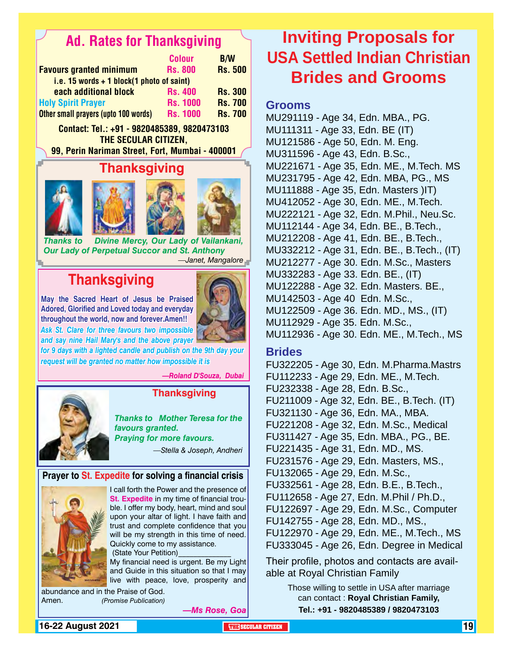## Ad. Rates for Thanksgiving

| <b>Colour</b>                               | <b>B/W</b>     |
|---------------------------------------------|----------------|
| <b>Rs. 800</b>                              | <b>Rs. 500</b> |
| i.e. 15 words $+$ 1 block(1 photo of saint) |                |
| <b>Rs. 400</b>                              | <b>Rs. 300</b> |
| <b>Rs. 1000</b>                             | <b>Rs. 700</b> |
| <b>Rs. 1000</b>                             | <b>Rs. 700</b> |
|                                             |                |

Contact: Tel.: +91 - 9820485389, 9820473103 THE SECULAR CITIZEN. 99, Perin Nariman Street, Fort, Mumbai - 400001

### **Thanksgiving**





*Thanks to Divine Mercy, Our Lady of Vailankani, Our Lady of Perpetual Succor and St. Anthony —Janet, Mangalore*

## **Thanksgiving**

**May the Sacred Heart of Jesus be Praised Adored, Glorified and Loved today and everyday throughout the world, now and forever.Amen!!** *Ask St. Clare for three favours two impossible* 



*for 9 days with a lighted candle and publish on the 9th day your request will be granted no matter how impossible it is and say nine Hail Mary's and the above prayer* 

*—Roland D'Souza, Dubai*



### **Thanksgiving**

*Thanks to Mother Teresa for the favours granted. Praying for more favours. —Stella & Joseph, Andheri*

### **Prayer to St. Expedite for solving a financial crisis**



I call forth the Power and the presence of **St. Expedite** in my time of financial trouble. I offer my body, heart, mind and soul upon your altar of light. I have faith and trust and complete confidence that you will be my strength in this time of need. Quickly come to my assistance.

 (State Your Petition)\_\_\_\_\_\_\_\_\_\_\_\_\_\_ My financial need is urgent. Be my Light and Guide in this situation so that I may live with peace, love, prosperity and

abundance and in the Praise of God. Amen. *(Promise Publication)*

**Inviting Proposals for USA Settled Indian Christian Brides and Grooms**

**Grooms**

MU291119 - Age 34, Edn. MBA., PG. MU111311 - Age 33, Edn. BE (IT) MU121586 - Age 50, Edn. M. Eng. MU311596 - Age 43, Edn. B.Sc., MU221671 - Age 35, Edn. ME., M.Tech. MS MU231795 - Age 42, Edn. MBA, PG., MS MU111888 - Age 35, Edn. Masters )IT) MU412052 - Age 30, Edn. ME., M.Tech. MU222121 - Age 32, Edn. M.Phil., Neu.Sc. MU112144 - Age 34, Edn. BE., B.Tech., MU212208 - Age 41, Edn. BE., B.Tech., MU332212 - Age 31, Edn. BE., B.Tech., (IT) MU212277 - Age 30. Edn. M.Sc., Masters MU332283 - Age 33. Edn. BE., (IT) MU122288 - Age 32. Edn. Masters. BE., MU142503 - Age 40 Edn. M.Sc., MU122509 - Age 36. Edn. MD., MS., (IT) MU112929 - Age 35. Edn. M.Sc., MU112936 - Age 30. Edn. ME., M.Tech., MS

### **Brides**

FU322205 - Age 30, Edn. M.Pharma.Mastrs FU112233 - Age 29, Edn. ME., M.Tech. FU232338 - Age 28, Edn. B.Sc., FU211009 - Age 32, Edn. BE., B.Tech. (IT) FU321130 - Age 36, Edn. MA., MBA. FU221208 - Age 32, Edn. M.Sc., Medical FU311427 - Age 35, Edn. MBA., PG., BE. FU221435 - Age 31, Edn. MD., MS. FU231576 - Age 29, Edn. Masters, MS., FU132065 - Age 29, Edn. M.Sc., FU332561 - Age 28, Edn. B.E., B.Tech., FU112658 - Age 27, Edn. M.Phil / Ph.D., FU122697 - Age 29, Edn. M.Sc., Computer FU142755 - Age 28, Edn. MD., MS., FU122970 - Age 29, Edn. ME., M.Tech., MS FU333045 - Age 26, Edn. Degree in Medical

Their profile, photos and contacts are available at Royal Christian Family

> Those willing to settle in USA after marriage can contact : **Royal Christian Family, Tel.: +91 - 9820485389 / 9820473103**

**16-22 August 2021 The CITIZEN 19 SECULAR CITIZEN THE SECULAR CITIZEN THE THE THE THE THE THE THE** 

*—Ms Rose, Goa*